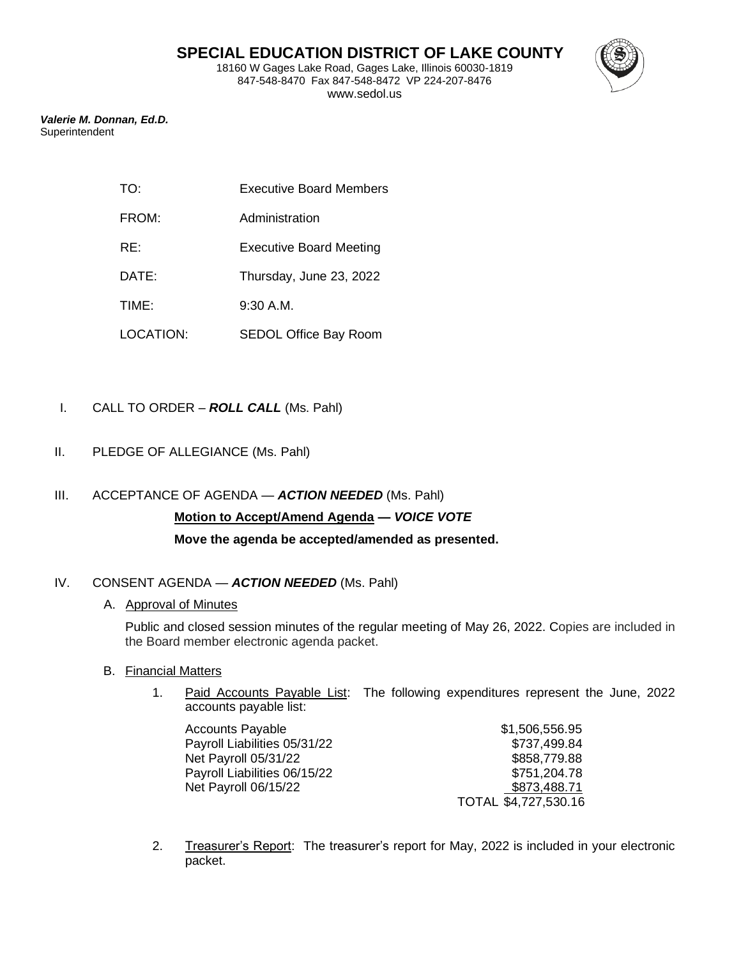18160 W Gages Lake Road, Gages Lake, Illinois 60030-1819 847-548-8470 Fax 847-548-8472 VP 224-207-8476 www.sedol.us



*Valerie M. Donnan, Ed.D.* Superintendent

| TO: | <b>Executive Board Members</b> |  |
|-----|--------------------------------|--|
|     |                                |  |

- FROM: Administration
- RE: Executive Board Meeting
- DATE: Thursday, June 23, 2022
- TIME: 9:30 A.M.
- LOCATION: SEDOL Office Bay Room
- I. CALL TO ORDER *ROLL CALL* (Ms. Pahl)
- II. PLEDGE OF ALLEGIANCE (Ms. Pahl)
- III. ACCEPTANCE OF AGENDA *ACTION NEEDED* (Ms. Pahl) **Motion to Accept/Amend Agenda —** *VOICE VOTE* **Move the agenda be accepted/amended as presented.**

# IV. CONSENT AGENDA — *ACTION NEEDED* (Ms. Pahl)

# A. Approval of Minutes

Public and closed session minutes of the regular meeting of May 26, 2022. Copies are included in the Board member electronic agenda packet.

- B. Financial Matters
	- 1. Paid Accounts Payable List: The following expenditures represent the June, 2022 accounts payable list:

| <b>Accounts Payable</b>      | \$1,506,556.95       |
|------------------------------|----------------------|
| Payroll Liabilities 05/31/22 | \$737,499.84         |
| Net Payroll 05/31/22         | \$858,779.88         |
| Payroll Liabilities 06/15/22 | \$751,204.78         |
| Net Payroll 06/15/22         | \$873,488.71         |
|                              | TOTAL \$4,727,530.16 |

2. Treasurer's Report: The treasurer's report for May, 2022 is included in your electronic packet.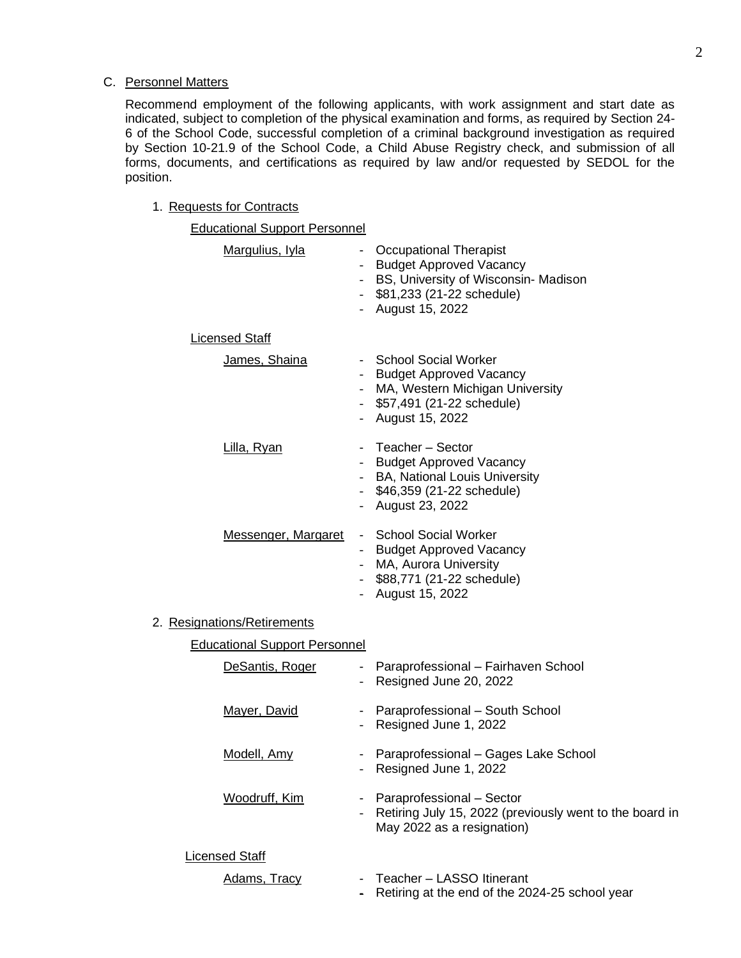#### C. Personnel Matters

Recommend employment of the following applicants, with work assignment and start date as indicated, subject to completion of the physical examination and forms, as required by Section 24- 6 of the School Code, successful completion of a criminal background investigation as required by Section 10-21.9 of the School Code, a Child Abuse Registry check, and submission of all forms, documents, and certifications as required by law and/or requested by SEDOL for the position.

# 1. Requests for Contracts

| <b>Educational Support Personnel</b> |                                             |                                                                                                                                                         |
|--------------------------------------|---------------------------------------------|---------------------------------------------------------------------------------------------------------------------------------------------------------|
| Margulius, Iyla                      | $\omega_{\rm{eff}}$<br>$\sim$ $-$<br>$\sim$ | <b>Occupational Therapist</b><br><b>Budget Approved Vacancy</b><br>BS, University of Wisconsin- Madison<br>\$81,233 (21-22 schedule)<br>August 15, 2022 |
| <b>Licensed Staff</b>                |                                             |                                                                                                                                                         |
| James, Shaina                        | $\sim$<br>$\sim$<br>$\sim$                  | <b>School Social Worker</b><br><b>Budget Approved Vacancy</b><br>MA, Western Michigan University<br>\$57,491 (21-22 schedule)<br>August 15, 2022        |
| Lilla, Ryan                          | $\sim$                                      | Teacher - Sector<br><b>Budget Approved Vacancy</b><br>BA, National Louis University<br>\$46,359 (21-22 schedule)<br>August 23, 2022                     |
| Messenger, Margaret                  |                                             | - School Social Worker<br>- Budget Approved Vacancy<br>- MA, Aurora University<br>- \$88,771 (21-22 schedule)<br>- August 15, 2022                      |
| 2. Resignations/Retirements          |                                             |                                                                                                                                                         |
| <b>Educational Support Personnel</b> |                                             |                                                                                                                                                         |
| DeSantis, Roger                      | н.                                          | Paraprofessional - Fairhaven School<br>Resigned June 20, 2022                                                                                           |
| <b>Mayer, David</b>                  |                                             | Paraprofessional - South School<br>Resigned June 1, 2022                                                                                                |
| Modell, Amy                          | $\sim 100$<br>$\overline{\phantom{0}}$      | Paraprofessional - Gages Lake School<br>Resigned June 1, 2022                                                                                           |
| Woodruff, Kim                        |                                             | Paraprofessional - Sector                                                                                                                               |

#### Licensed Staff

Adams, Tracy - Teacher - LASSO Itinerant

May 2022 as a resignation)

- Retiring at the end of the 2024-25 school year

- Retiring July 15, 2022 (previously went to the board in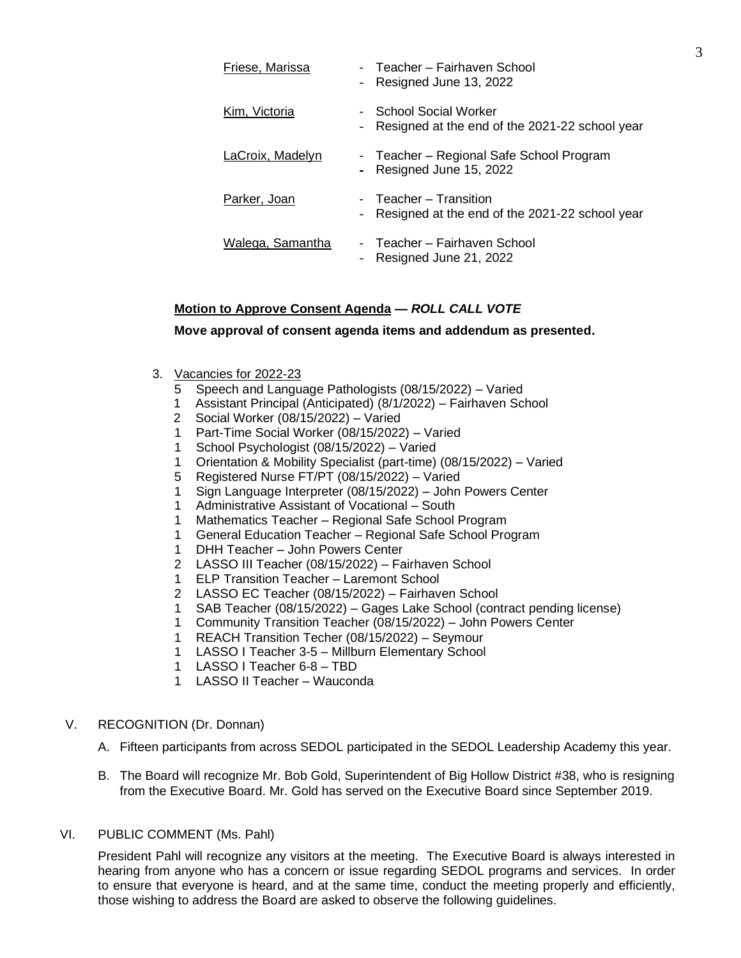| Friese, Marissa  |        | - Teacher – Fairhaven School<br>- Resigned June 13, 2022                      |
|------------------|--------|-------------------------------------------------------------------------------|
| Kim, Victoria    | $\sim$ | <b>School Social Worker</b><br>Resigned at the end of the 2021-22 school year |
| LaCroix, Madelyn |        | - Teacher - Regional Safe School Program<br>- Resigned June 15, 2022          |
| Parker, Joan     |        | - Teacher – Transition<br>- Resigned at the end of the 2021-22 school year    |
| Walega, Samantha |        | - Teacher – Fairhaven School<br>Resigned June 21, 2022                        |

# **Motion to Approve Consent Agenda —** *ROLL CALL VOTE*

# **Move approval of consent agenda items and addendum as presented.**

- 3. Vacancies for 2022-23
	- 5 Speech and Language Pathologists (08/15/2022) Varied
	- 1 Assistant Principal (Anticipated) (8/1/2022) Fairhaven School
	- 2 Social Worker (08/15/2022) Varied
	- 1 Part-Time Social Worker (08/15/2022) Varied
	- 1 School Psychologist (08/15/2022) Varied
	- 1 Orientation & Mobility Specialist (part-time) (08/15/2022) Varied
	- 5 Registered Nurse FT/PT (08/15/2022) Varied
	- 1 Sign Language Interpreter (08/15/2022) John Powers Center
	- 1 Administrative Assistant of Vocational South
	- 1 Mathematics Teacher Regional Safe School Program
	- 1 General Education Teacher Regional Safe School Program
	- 1 DHH Teacher John Powers Center
	- 2 LASSO III Teacher (08/15/2022) Fairhaven School
	- 1 ELP Transition Teacher Laremont School
	- 2 LASSO EC Teacher (08/15/2022) Fairhaven School
	- 1 SAB Teacher (08/15/2022) Gages Lake School (contract pending license)
	- 1 Community Transition Teacher (08/15/2022) John Powers Center
	- 1 REACH Transition Techer (08/15/2022) Seymour
	- 1 LASSO I Teacher 3-5 Millburn Elementary School
	- 1 LASSO I Teacher 6-8 TBD
	- 1 LASSO II Teacher Wauconda

#### V. RECOGNITION (Dr. Donnan)

- A. Fifteen participants from across SEDOL participated in the SEDOL Leadership Academy this year.
- B. The Board will recognize Mr. Bob Gold, Superintendent of Big Hollow District #38, who is resigning from the Executive Board. Mr. Gold has served on the Executive Board since September 2019.

#### VI. PUBLIC COMMENT (Ms. Pahl)

President Pahl will recognize any visitors at the meeting. The Executive Board is always interested in hearing from anyone who has a concern or issue regarding SEDOL programs and services. In order to ensure that everyone is heard, and at the same time, conduct the meeting properly and efficiently, those wishing to address the Board are asked to observe the following guidelines.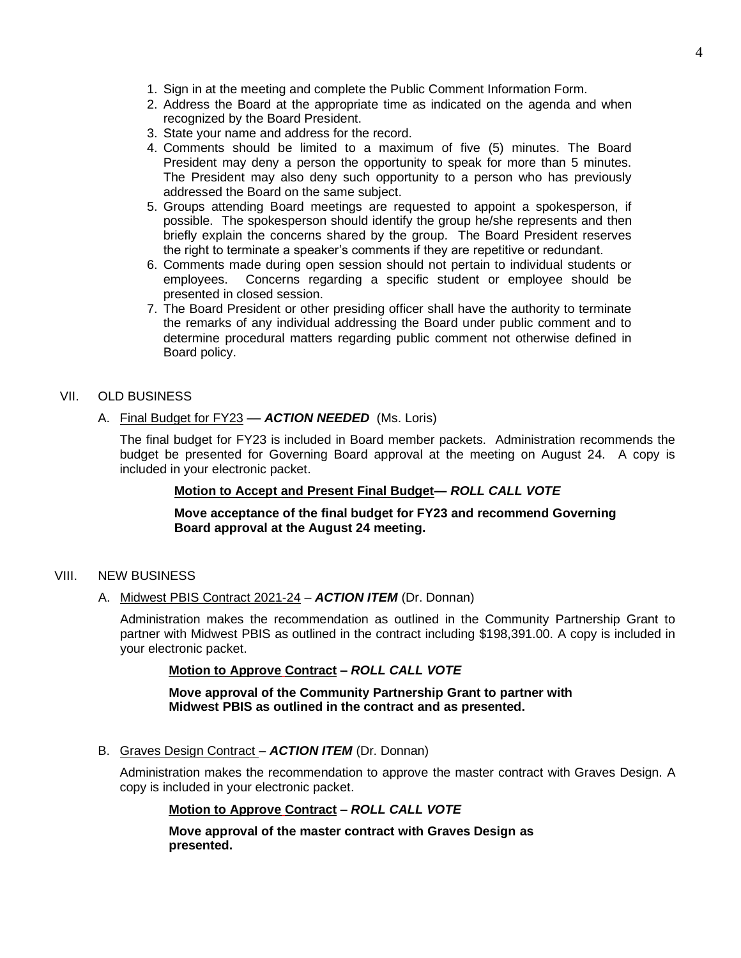- 1. Sign in at the meeting and complete the Public Comment Information Form.
- 2. Address the Board at the appropriate time as indicated on the agenda and when recognized by the Board President.
- 3. State your name and address for the record.
- 4. Comments should be limited to a maximum of five (5) minutes. The Board President may deny a person the opportunity to speak for more than 5 minutes. The President may also deny such opportunity to a person who has previously addressed the Board on the same subject.
- 5. Groups attending Board meetings are requested to appoint a spokesperson, if possible. The spokesperson should identify the group he/she represents and then briefly explain the concerns shared by the group. The Board President reserves the right to terminate a speaker's comments if they are repetitive or redundant.
- 6. Comments made during open session should not pertain to individual students or employees. Concerns regarding a specific student or employee should be presented in closed session.
- 7. The Board President or other presiding officer shall have the authority to terminate the remarks of any individual addressing the Board under public comment and to determine procedural matters regarding public comment not otherwise defined in Board policy.
- VII. OLD BUSINESS
	- A. Final Budget for FY23 **ACTION NEEDED** (Ms. Loris)

The final budget for FY23 is included in Board member packets. Administration recommends the budget be presented for Governing Board approval at the meeting on August 24. A copy is included in your electronic packet.

# **Motion to Accept and Present Final Budget—** *ROLL CALL VOTE*

**Move acceptance of the final budget for FY23 and recommend Governing Board approval at the August 24 meeting.**

- VIII. NEW BUSINESS
	- A. Midwest PBIS Contract 2021-24 *ACTION ITEM* (Dr. Donnan)

Administration makes the recommendation as outlined in the Community Partnership Grant to partner with Midwest PBIS as outlined in the contract including \$198,391.00. A copy is included in your electronic packet.

#### **Motion to Approve Contract –** *ROLL CALL VOTE*

**Move approval of the Community Partnership Grant to partner with Midwest PBIS as outlined in the contract and as presented.**

B. Graves Design Contract – *ACTION ITEM* (Dr. Donnan)

Administration makes the recommendation to approve the master contract with Graves Design. A copy is included in your electronic packet.

#### **Motion to Approve Contract –** *ROLL CALL VOTE*

**Move approval of the master contract with Graves Design as presented.**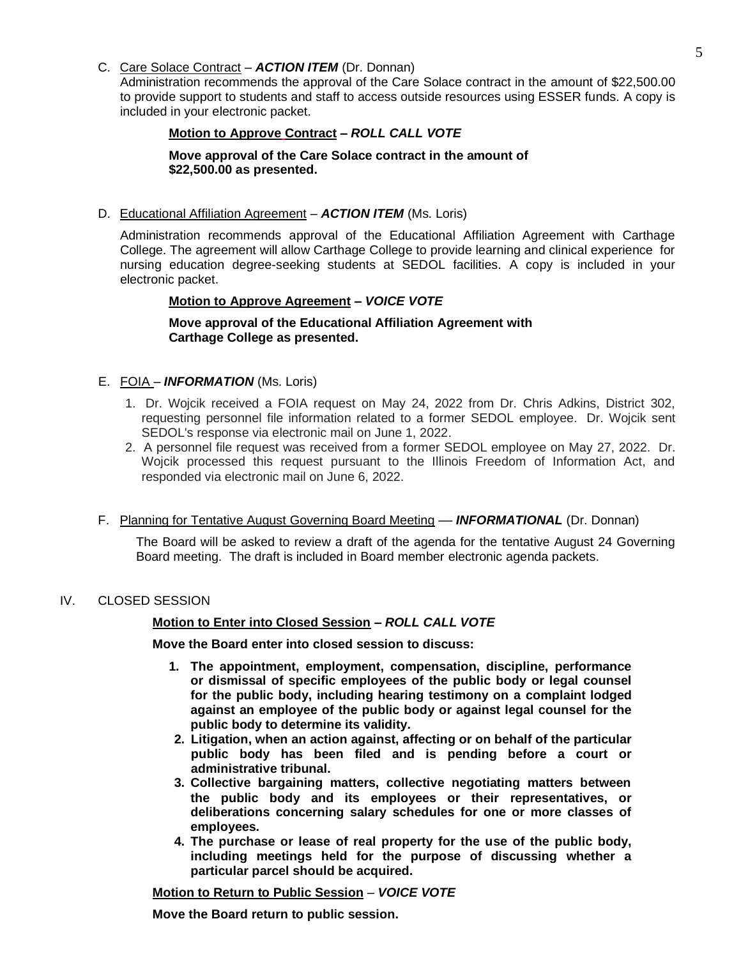# C. Care Solace Contract – *ACTION ITEM* (Dr. Donnan)

Administration recommends the approval of the Care Solace contract in the amount of \$22,500.00 to provide support to students and staff to access outside resources using ESSER funds. A copy is included in your electronic packet.

# **Motion to Approve Contract –** *ROLL CALL VOTE*

# **Move approval of the Care Solace contract in the amount of \$22,500.00 as presented.**

D. Educational Affiliation Agreement – *ACTION ITEM* (Ms. Loris)

Administration recommends approval of the Educational Affiliation Agreement with Carthage College. The agreement will allow Carthage College to provide learning and clinical experience for nursing education degree-seeking students at SEDOL facilities. A copy is included in your electronic packet.

# **Motion to Approve Agreement –** *VOICE VOTE*

**Move approval of the Educational Affiliation Agreement with Carthage College as presented.**

# E. FOIA – *INFORMATION* (Ms. Loris)

- 1. Dr. Wojcik received a FOIA request on May 24, 2022 from Dr. Chris Adkins, District 302, requesting personnel file information related to a former SEDOL employee. Dr. Wojcik sent SEDOL's response via electronic mail on June 1, 2022.
- 2. A personnel file request was received from a former SEDOL employee on May 27, 2022. Dr. Wojcik processed this request pursuant to the Illinois Freedom of Information Act, and responded via electronic mail on June 6, 2022.

# F. Planning for Tentative August Governing Board Meeting –– *INFORMATIONAL* (Dr. Donnan)

The Board will be asked to review a draft of the agenda for the tentative August 24 Governing Board meeting. The draft is included in Board member electronic agenda packets.

# IV. CLOSED SESSION

# **Motion to Enter into Closed Session –** *ROLL CALL VOTE*

**Move the Board enter into closed session to discuss:**

- **1. The appointment, employment, compensation, discipline, performance or dismissal of specific employees of the public body or legal counsel for the public body, including hearing testimony on a complaint lodged against an employee of the public body or against legal counsel for the public body to determine its validity.**
- **2. Litigation, when an action against, affecting or on behalf of the particular public body has been filed and is pending before a court or administrative tribunal.**
- **3. Collective bargaining matters, collective negotiating matters between the public body and its employees or their representatives, or deliberations concerning salary schedules for one or more classes of employees.**
- **4. The purchase or lease of real property for the use of the public body, including meetings held for the purpose of discussing whether a particular parcel should be acquired.**

**Motion to Return to Public Session** – *VOICE VOTE*

**Move the Board return to public session.**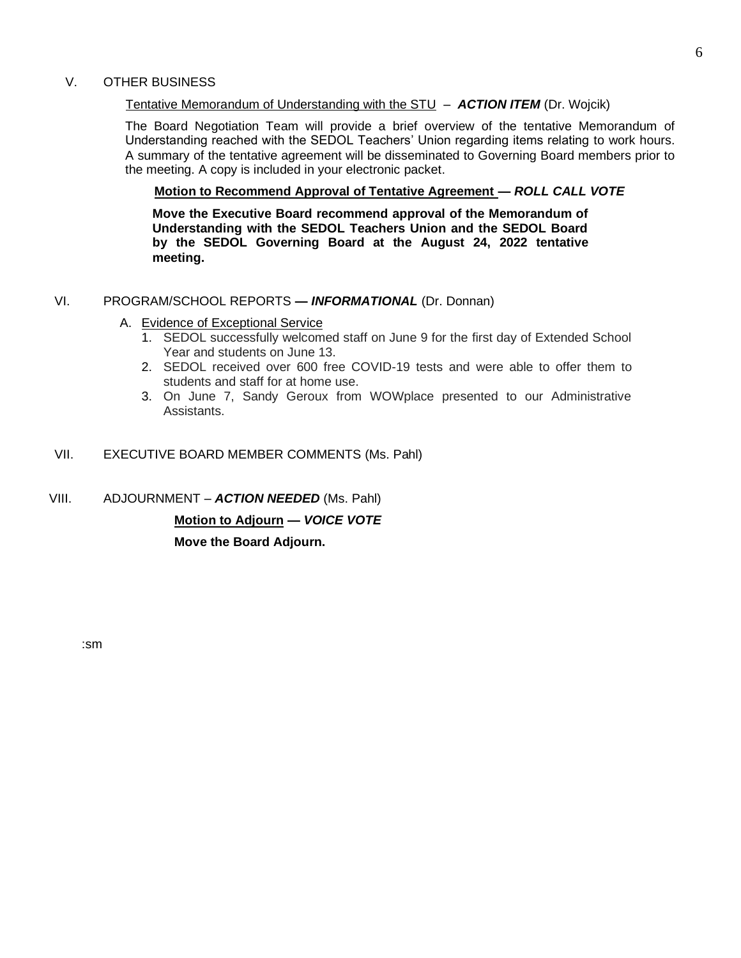# V. OTHER BUSINESS

#### Tentative Memorandum of Understanding with the STU – *ACTION ITEM* (Dr. Wojcik)

The Board Negotiation Team will provide a brief overview of the tentative Memorandum of Understanding reached with the SEDOL Teachers' Union regarding items relating to work hours. A summary of the tentative agreement will be disseminated to Governing Board members prior to the meeting. A copy is included in your electronic packet.

#### **Motion to Recommend Approval of Tentative Agreement —** *ROLL CALL VOTE*

**Move the Executive Board recommend approval of the Memorandum of Understanding with the SEDOL Teachers Union and the SEDOL Board by the SEDOL Governing Board at the August 24, 2022 tentative meeting.**

#### VI. PROGRAM/SCHOOL REPORTS **—** *INFORMATIONAL* (Dr. Donnan)

- A. Evidence of Exceptional Service
	- 1. SEDOL successfully welcomed staff on June 9 for the first day of Extended School Year and students on June 13.
	- 2. SEDOL received over 600 free COVID-19 tests and were able to offer them to students and staff for at home use.
	- 3. On June 7, Sandy Geroux from WOWplace presented to our Administrative Assistants.
- VII. EXECUTIVE BOARD MEMBER COMMENTS (Ms. Pahl)
- VIII. ADJOURNMENT *ACTION NEEDED* (Ms. Pahl)

**Motion to Adjourn —** *VOICE VOTE*

**Move the Board Adjourn.**